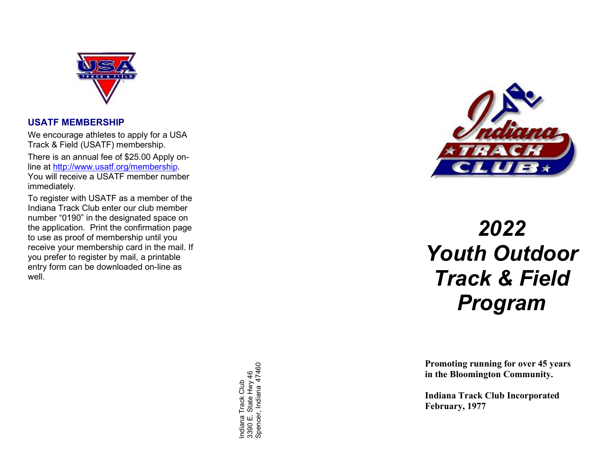

#### USATF MEMBERSHIP

We encourage athletes to apply for a USA Track & Field (USATF) membership.

There is an annual fee of \$25.00 Apply online at http://www.usatf.org/membership. You will receive a USATF member number immediately.

To register with USATF as a member of the Indiana Track Club enter our club member number "0190" in the designated space on the application. Print the confirmation page to use as proof of membership until you receive your membership card in the mail. If you prefer to register by mail, a printable entry form can be downloaded on-line as well.

From oting runn<br>
So the Blooming<br>
So the Blooming<br>
The Blooming<br>
Indiana Track Club 33<br>
The Blooming<br>
Indiana Track Club 337<br>
The Blooming<br>
Indiana Track C<br>
February, 1977<br>
E. State Hervary, 1977



# 2022 Youth Outdoor Track & Field Program

 Promoting running for over 45 years in the Bloomington Community.

Indiana Track Club Incorporated